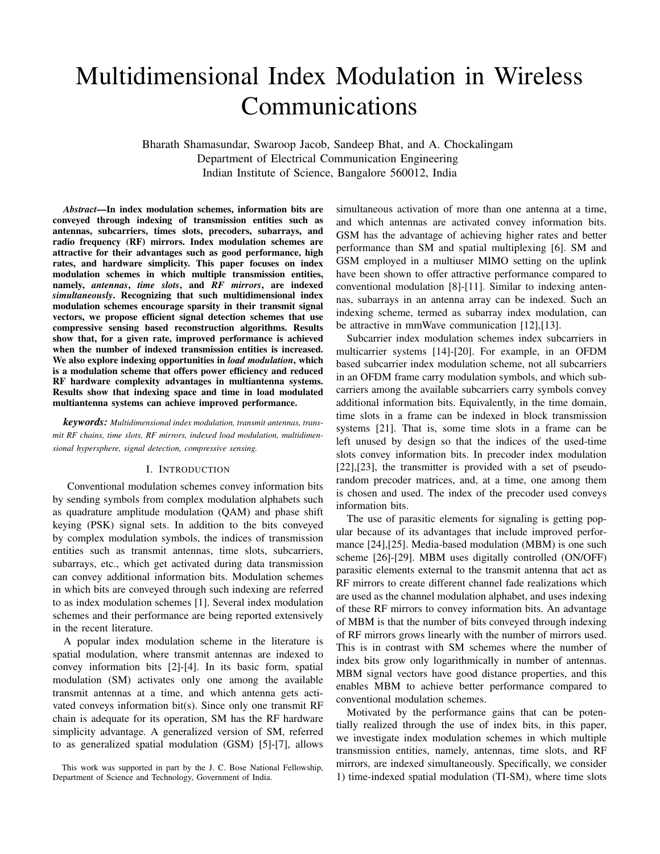# Multidimensional Index Modulation in Wireless Communications

Bharath Shamasundar, Swaroop Jacob, Sandeep Bhat, and A. Chockalingam Department of Electrical Communication Engineering Indian Institute of Science, Bangalore 560012, India

*Abstract*—In index modulation schemes, information bits are conveyed through indexing of transmission entities such as antennas, subcarriers, times slots, precoders, subarrays, and radio frequency (RF) mirrors. Index modulation schemes are attractive for their advantages such as good performance, high rates, and hardware simplicity. This paper focuses on index modulation schemes in which multiple transmission entities, namely, *antennas*, *time slots*, and *RF mirrors*, are indexed *simultaneously*. Recognizing that such multidimensional index modulation schemes encourage sparsity in their transmit signal vectors, we propose efficient signal detection schemes that use compressive sensing based reconstruction algorithms. Results show that, for a given rate, improved performance is achieved when the number of indexed transmission entities is increased. We also explore indexing opportunities in *load modulation*, which is a modulation scheme that offers power efficiency and reduced RF hardware complexity advantages in multiantenna systems. Results show that indexing space and time in load modulated multiantenna systems can achieve improved performance.

*keywords: Multidimensional index modulation, transmit antennas, transmit RF chains, time slots, RF mirrors, indexed load modulation, multidimensional hypersphere, signal detection, compressive sensing.*

#### I. INTRODUCTION

Conventional modulation schemes convey information bits by sending symbols from complex modulation alphabets such as quadrature amplitude modulation (QAM) and phase shift keying (PSK) signal sets. In addition to the bits conveyed by complex modulation symbols, the indices of transmission entities such as transmit antennas, time slots, subcarriers, subarrays, etc., which get activated during data transmission can convey additional information bits. Modulation schemes in which bits are conveyed through such indexing are referred to as index modulation schemes [1]. Several index modulation schemes and their performance are being reported extensively in the recent literature.

A popular index modulation scheme in the literature is spatial modulation, where transmit antennas are indexed to convey information bits [2]-[4]. In its basic form, spatial modulation (SM) activates only one among the available transmit antennas at a time, and which antenna gets activated conveys information bit(s). Since only one transmit RF chain is adequate for its operation, SM has the RF hardware simplicity advantage. A generalized version of SM, referred to as generalized spatial modulation (GSM) [5]-[7], allows

simultaneous activation of more than one antenna at a time, and which antennas are activated convey information bits. GSM has the advantage of achieving higher rates and better performance than SM and spatial multiplexing [6]. SM and GSM employed in a multiuser MIMO setting on the uplink have been shown to offer attractive performance compared to conventional modulation [8]-[11]. Similar to indexing antennas, subarrays in an antenna array can be indexed. Such an indexing scheme, termed as subarray index modulation, can be attractive in mmWave communication [12],[13].

Subcarrier index modulation schemes index subcarriers in multicarrier systems [14]-[20]. For example, in an OFDM based subcarrier index modulation scheme, not all subcarriers in an OFDM frame carry modulation symbols, and which subcarriers among the available subcarriers carry symbols convey additional information bits. Equivalently, in the time domain, time slots in a frame can be indexed in block transmission systems [21]. That is, some time slots in a frame can be left unused by design so that the indices of the used-time slots convey information bits. In precoder index modulation [22],[23], the transmitter is provided with a set of pseudorandom precoder matrices, and, at a time, one among them is chosen and used. The index of the precoder used conveys information bits.

The use of parasitic elements for signaling is getting popular because of its advantages that include improved performance [24],[25]. Media-based modulation (MBM) is one such scheme [26]-[29]. MBM uses digitally controlled (ON/OFF) parasitic elements external to the transmit antenna that act as RF mirrors to create different channel fade realizations which are used as the channel modulation alphabet, and uses indexing of these RF mirrors to convey information bits. An advantage of MBM is that the number of bits conveyed through indexing of RF mirrors grows linearly with the number of mirrors used. This is in contrast with SM schemes where the number of index bits grow only logarithmically in number of antennas. MBM signal vectors have good distance properties, and this enables MBM to achieve better performance compared to conventional modulation schemes.

Motivated by the performance gains that can be potentially realized through the use of index bits, in this paper, we investigate index modulation schemes in which multiple transmission entities, namely, antennas, time slots, and RF mirrors, are indexed simultaneously. Specifically, we consider 1) time-indexed spatial modulation (TI-SM), where time slots

This work was supported in part by the J. C. Bose National Fellowship, Department of Science and Technology, Government of India.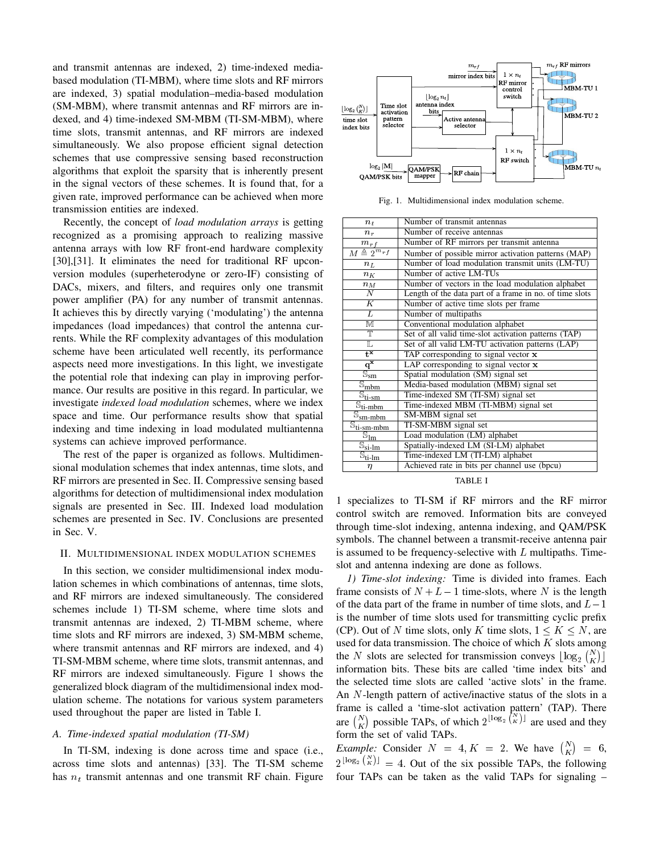and transmit antennas are indexed, 2) time-indexed mediabased modulation (TI-MBM), where time slots and RF mirrors are indexed, 3) spatial modulation–media-based modulation (SM-MBM), where transmit antennas and RF mirrors are indexed, and 4) time-indexed SM-MBM (TI-SM-MBM), where time slots, transmit antennas, and RF mirrors are indexed simultaneously. We also propose efficient signal detection schemes that use compressive sensing based reconstruction algorithms that exploit the sparsity that is inherently present in the signal vectors of these schemes. It is found that, for a given rate, improved performance can be achieved when more transmission entities are indexed.

Recently, the concept of *load modulation arrays* is getting recognized as a promising approach to realizing massive antenna arrays with low RF front-end hardware complexity [30],[31]. It eliminates the need for traditional RF upconversion modules (superheterodyne or zero-IF) consisting of DACs, mixers, and filters, and requires only one transmit power amplifier (PA) for any number of transmit antennas. It achieves this by directly varying ('modulating') the antenna impedances (load impedances) that control the antenna currents. While the RF complexity advantages of this modulation scheme have been articulated well recently, its performance aspects need more investigations. In this light, we investigate the potential role that indexing can play in improving performance. Our results are positive in this regard. In particular, we investigate *indexed load modulation* schemes, where we index space and time. Our performance results show that spatial indexing and time indexing in load modulated multiantenna systems can achieve improved performance.

The rest of the paper is organized as follows. Multidimensional modulation schemes that index antennas, time slots, and RF mirrors are presented in Sec. II. Compressive sensing based algorithms for detection of multidimensional index modulation signals are presented in Sec. III. Indexed load modulation schemes are presented in Sec. IV. Conclusions are presented in Sec. V.

#### II. MULTIDIMENSIONAL INDEX MODULATION SCHEMES

In this section, we consider multidimensional index modulation schemes in which combinations of antennas, time slots, and RF mirrors are indexed simultaneously. The considered schemes include 1) TI-SM scheme, where time slots and transmit antennas are indexed, 2) TI-MBM scheme, where time slots and RF mirrors are indexed, 3) SM-MBM scheme, where transmit antennas and RF mirrors are indexed, and 4) TI-SM-MBM scheme, where time slots, transmit antennas, and RF mirrors are indexed simultaneously. Figure 1 shows the generalized block diagram of the multidimensional index modulation scheme. The notations for various system parameters used throughout the paper are listed in Table I.

# *A. Time-indexed spatial modulation (TI-SM)*

In TI-SM, indexing is done across time and space (i.e., across time slots and antennas) [33]. The TI-SM scheme has  $n_t$  transmit antennas and one transmit RF chain. Figure



Fig. 1. Multidimensional index modulation scheme.

| $n_{t}$                                                                              | Number of transmit antennas                             |
|--------------------------------------------------------------------------------------|---------------------------------------------------------|
| $n_r$                                                                                | Number of receive antennas                              |
| $m_{rf}$                                                                             | Number of RF mirrors per transmit antenna               |
| $M \triangleq 2^{m_{rf}}$                                                            | Number of possible mirror activation patterns (MAP)     |
| $n_L$                                                                                | Number of load modulation transmit units (LM-TU)        |
| $n_K$                                                                                | Number of active LM-TUs                                 |
| $n_M$                                                                                | Number of vectors in the load modulation alphabet       |
| N                                                                                    | Length of the data part of a frame in no. of time slots |
| $\overline{K}$                                                                       | Number of active time slots per frame                   |
| $\overline{L}$                                                                       | Number of multipaths                                    |
| $\overline{\mathbb{M}}$                                                              | Conventional modulation alphabet                        |
| $\overline{\mathbb{T}}$                                                              | Set of all valid time-slot activation patterns (TAP)    |
| L                                                                                    | Set of all valid LM-TU activation patterns (LAP)        |
| $\overline{t^{\times}}$                                                              | TAP corresponding to signal vector x                    |
| $\overline{q^x}$                                                                     | LAP corresponding to signal vector $\bf{x}$             |
| $\overline{\mathbb{S}}_{\text{sm}}$                                                  | Spatial modulation (SM) signal set                      |
| $\overline{\mathbb{S}}_{\underline{\text{mbm}}}$                                     | Media-based modulation (MBM) signal set                 |
| $\overline{\mathbb{S}}_{\underline{\mathfrak{t}}\underline{\mathfrak{i}}\text{-sm}}$ | Time-indexed SM (TI-SM) signal set                      |
| $\mathbb{S}_{\text{ti-mbm}}$                                                         | Time-indexed MBM (TI-MBM) signal set                    |
| $\overline{\mathbb{S}}_{\text{sm-mbm}}$                                              | SM-MBM signal set                                       |
| $\overline{\mathbb{S}}_{\text{ti-sm-mbm}}$                                           | TI-SM-MBM signal set                                    |
| $\overleftarrow{\mathbb{S}_{lm}}$                                                    | Load modulation (LM) alphabet                           |
| $\overline{\mathbb{S}_{\textnormal{si-lm}}}$                                         | Spatially-indexed LM (SI-LM) alphabet                   |
| $\overline{\mathbb{S}_{\text{ti-lm}}}$                                               | Time-indexed LM (TI-LM) alphabet                        |
| η                                                                                    | Achieved rate in bits per channel use (bpcu)            |

TABLE I

1 specializes to TI-SM if RF mirrors and the RF mirror control switch are removed. Information bits are conveyed through time-slot indexing, antenna indexing, and QAM/PSK symbols. The channel between a transmit-receive antenna pair is assumed to be frequency-selective with  $L$  multipaths. Timeslot and antenna indexing are done as follows.

*1) Time-slot indexing:* Time is divided into frames. Each frame consists of  $N + L - 1$  time-slots, where N is the length of the data part of the frame in number of time slots, and  $L-1$ is the number of time slots used for transmitting cyclic prefix (CP). Out of N time slots, only K time slots,  $1 \leq K \leq N$ , are used for data transmission. The choice of which  $K$  slots among the N slots are selected for transmission conveys  $\lfloor \log_2 {N \choose K} \rfloor$ information bits. These bits are called 'time index bits' and the selected time slots are called 'active slots' in the frame. An N-length pattern of active/inactive status of the slots in a frame is called a 'time-slot activation pattern' (TAP). There are  $\binom{N}{K}$  possible TAPs, of which  $2^{\lfloor \log_2 \binom{N}{K} \rfloor}$  are used and they form the set of valid TAPs.

*Example:* Consider  $N = 4, K = 2$ . We have  $\binom{N}{K} = 6$ ,  $2^{\lfloor \log_2 {N \choose K} \rfloor} = 4$ . Out of the six possible TAPs, the following four TAPs can be taken as the valid TAPs for signaling –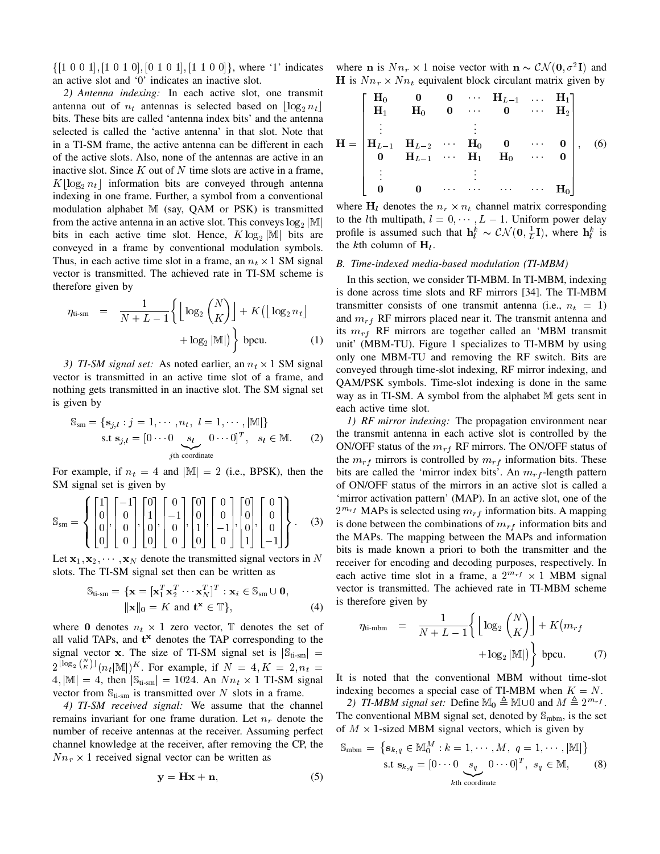$\{[1\ 0\ 0\ 1], [1\ 0\ 1\ 0], [0\ 1\ 0\ 1], [1\ 1\ 0\ 0]\},$  where '1' indicates an active slot and '0' indicates an inactive slot.

*2) Antenna indexing:* In each active slot, one transmit antenna out of  $n_t$  antennas is selected based on  $\lfloor \log_2 n_t \rfloor$ bits. These bits are called 'antenna index bits' and the antenna selected is called the 'active antenna' in that slot. Note that in a TI-SM frame, the active antenna can be different in each of the active slots. Also, none of the antennas are active in an inactive slot. Since  $K$  out of  $N$  time slots are active in a frame,  $K\lfloor \log_2 n_t \rfloor$  information bits are conveyed through antenna indexing in one frame. Further, a symbol from a conventional modulation alphabet M (say, QAM or PSK) is transmitted from the active antenna in an active slot. This conveys  $\log_2 |\mathbb{M}|$ bits in each active time slot. Hence,  $K \log_2 |\mathbb{M}|$  bits are conveyed in a frame by conventional modulation symbols. Thus, in each active time slot in a frame, an  $n_t \times 1$  SM signal vector is transmitted. The achieved rate in TI-SM scheme is therefore given by

$$
\eta_{\text{ti-sm}} = \frac{1}{N + L - 1} \left\{ \left\lfloor \log_2 {N \choose K} \right\rfloor + K \left( \left\lfloor \log_2 n_t \right\rfloor + \log_2 |\mathbb{M}| \right) \right\}
$$
 bpcu. (1)

3) TI-SM signal set: As noted earlier, an  $n_t \times 1$  SM signal vector is transmitted in an active time slot of a frame, and nothing gets transmitted in an inactive slot. The SM signal set is given by

$$
\mathbb{S}_{\text{sm}} = \{ \mathbf{s}_{j,l} : j = 1, \cdots, n_t, l = 1, \cdots, |\mathbb{M}| \}
$$
  
s.t  $\mathbf{s}_{j,l} = [0 \cdots 0 \underbrace{\mathbf{s}_l \quad 0 \cdots 0}]^T, \quad s_l \in \mathbb{M}.$  (2)  
*j*th coordinate

For example, if  $n_t = 4$  and  $|\mathbb{M}| = 2$  (i.e., BPSK), then the SM signal set is given by

$$
\mathbb{S}_{\text{sm}} = \left\{ \begin{bmatrix} 1 \\ 0 \\ 0 \\ 0 \end{bmatrix}, \begin{bmatrix} -1 \\ 0 \\ 0 \\ 0 \end{bmatrix}, \begin{bmatrix} 0 \\ 1 \\ 0 \\ 0 \end{bmatrix}, \begin{bmatrix} 0 \\ -1 \\ 0 \\ 0 \end{bmatrix}, \begin{bmatrix} 0 \\ 0 \\ 1 \\ 0 \end{bmatrix}, \begin{bmatrix} 0 \\ 0 \\ -1 \\ 0 \end{bmatrix}, \begin{bmatrix} 0 \\ 0 \\ 0 \\ 1 \end{bmatrix}, \begin{bmatrix} 0 \\ 0 \\ 0 \\ -1 \end{bmatrix} \right\}.
$$
 (3)

Let  $x_1, x_2, \dots, x_N$  denote the transmitted signal vectors in N slots. The TI-SM signal set then can be written as

$$
\mathbb{S}_{\text{ti-sm}} = \{ \mathbf{x} = [\mathbf{x}_1^T \mathbf{x}_2^T \cdots \mathbf{x}_N^T]^T : \mathbf{x}_i \in \mathbb{S}_{\text{sm}} \cup \mathbf{0},
$$
  
  $||\mathbf{x}||_0 = K \text{ and } \mathbf{t}^{\mathbf{x}} \in \mathbb{T} \},$  (4)

where 0 denotes  $n_t \times 1$  zero vector,  $\mathbb T$  denotes the set of all valid TAPs, and  $t^*$  denotes the TAP corresponding to the signal vector x. The size of TI-SM signal set is  $|S_{ti-sm}|$  =  $2^{\lfloor \log_2 {N \choose K} \rfloor} (n_t | \mathbb{M}|)^K$ . For example, if  $N = 4, K = 2, n_t = 1$  $4$ ,  $|\mathbb{M}| = 4$ , then  $|\mathbb{S}_{\text{ti-sm}}| = 1024$ . An  $Nn_t \times 1$  TI-SM signal vector from  $\mathbb{S}_{\text{ti-sm}}$  is transmitted over N slots in a frame.

*4) TI-SM received signal:* We assume that the channel remains invariant for one frame duration. Let  $n_r$  denote the number of receive antennas at the receiver. Assuming perfect channel knowledge at the receiver, after removing the CP, the  $Nn_r \times 1$  received signal vector can be written as

$$
y = Hx + n,\t\t(5)
$$

where **n** is  $Nn_r \times 1$  noise vector with  $\mathbf{n} \sim \mathcal{CN}(\mathbf{0}, \sigma^2 \mathbf{I})$  and H is  $Nn_r \times Nn_t$  equivalent block circulant matrix given by

$$
\mathbf{H} = \begin{bmatrix} \mathbf{H}_0 & \mathbf{0} & \mathbf{0} & \cdots & \mathbf{H}_{L-1} & \cdots & \mathbf{H}_1 \\ \mathbf{H}_1 & \mathbf{H}_0 & \mathbf{0} & \cdots & \mathbf{0} & \cdots & \mathbf{H}_2 \\ \vdots & & & \vdots & & \\ \mathbf{H}_{L-1} & \mathbf{H}_{L-2} & \cdots & \mathbf{H}_0 & \mathbf{0} & \cdots & \mathbf{0} \\ \mathbf{0} & \mathbf{H}_{L-1} & \cdots & \mathbf{H}_1 & \mathbf{H}_0 & \cdots & \mathbf{0} \\ \vdots & & & \vdots & & \\ \mathbf{0} & \mathbf{0} & \cdots & \cdots & \cdots & \mathbf{H}_0 \end{bmatrix}, \quad (6)
$$

where  $H_l$  denotes the  $n_r \times n_t$  channel matrix corresponding to the *l*th multipath,  $l = 0, \dots, L - 1$ . Uniform power delay profile is assumed such that  $\mathbf{h}_l^k \sim \mathcal{CN}(\mathbf{0}, \frac{1}{L}\mathbf{I})$ , where  $\mathbf{h}_l^k$  is the *k*th column of  $H_l$ .

#### *B. Time-indexed media-based modulation (TI-MBM)*

In this section, we consider TI-MBM. In TI-MBM, indexing is done across time slots and RF mirrors [34]. The TI-MBM transmitter consists of one transmit antenna (i.e.,  $n_t = 1$ ) and  $m_{rf}$  RF mirrors placed near it. The transmit antenna and its  $m_{rf}$  RF mirrors are together called an 'MBM transmit unit' (MBM-TU). Figure 1 specializes to TI-MBM by using only one MBM-TU and removing the RF switch. Bits are conveyed through time-slot indexing, RF mirror indexing, and QAM/PSK symbols. Time-slot indexing is done in the same way as in TI-SM. A symbol from the alphabet M gets sent in each active time slot.

*1) RF mirror indexing:* The propagation environment near the transmit antenna in each active slot is controlled by the ON/OFF status of the  $m_{rf}$  RF mirrors. The ON/OFF status of the  $m_{rf}$  mirrors is controlled by  $m_{rf}$  information bits. These bits are called the 'mirror index bits'. An  $m_{rf}$ -length pattern of ON/OFF status of the mirrors in an active slot is called a 'mirror activation pattern' (MAP). In an active slot, one of the  $2^{m_{rf}}$  MAPs is selected using  $m_{rf}$  information bits. A mapping is done between the combinations of  $m_{rf}$  information bits and the MAPs. The mapping between the MAPs and information bits is made known a priori to both the transmitter and the receiver for encoding and decoding purposes, respectively. In each active time slot in a frame, a  $2^{m_{rf}} \times 1$  MBM signal vector is transmitted. The achieved rate in TI-MBM scheme is therefore given by

$$
\eta_{\text{ti-mbm}} = \frac{1}{N + L - 1} \left\{ \left\lfloor \log_2 {N \choose K} \right\rfloor + K \left( m_{rf} + \log_2 |\mathbb{M}| \right) \right\} \text{ bpcu.}
$$
 (7)

It is noted that the conventional MBM without time-slot indexing becomes a special case of TI-MBM when  $K = N$ .

2) *TI-MBM signal set:* Define  $M_0 \triangleq M \cup 0$  and  $M \triangleq 2^{m_r f}$ . The conventional MBM signal set, denoted by  $\mathbb{S}_{\text{mbm}}$ , is the set of  $M \times 1$ -sized MBM signal vectors, which is given by

$$
\mathbb{S}_{\text{mbm}} = \left\{ \mathbf{s}_{k,q} \in \mathbb{M}_0^M : k = 1, \cdots, M, q = 1, \cdots, |\mathbb{M}| \right\}
$$
  
s.t  $\mathbf{s}_{k,q} = \left[ 0 \cdots 0 \underbrace{s_q \quad 0 \cdots 0} \right]^T, s_q \in \mathbb{M},$  (8)  
<sub>kth coordinate</sub>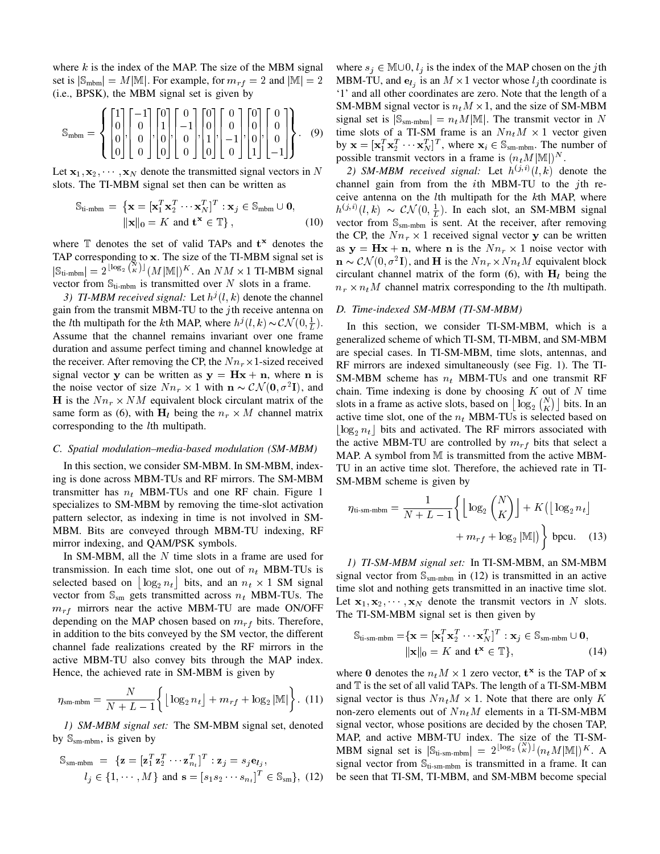where  $k$  is the index of the MAP. The size of the MBM signal set is  $|\mathbb{S}_{\text{mbm}}| = M|\mathbb{M}|$ . For example, for  $m_{rf} = 2$  and  $|\mathbb{M}| = 2$ (i.e., BPSK), the MBM signal set is given by

$$
\mathbb{S}_{\text{mbm}} = \left\{ \begin{bmatrix} 1 \\ 0 \\ 0 \\ 0 \end{bmatrix}, \begin{bmatrix} -1 \\ 0 \\ 0 \\ 0 \end{bmatrix}, \begin{bmatrix} 0 \\ 1 \\ 0 \\ 0 \end{bmatrix}, \begin{bmatrix} 0 \\ -1 \\ 0 \\ 0 \end{bmatrix}, \begin{bmatrix} 0 \\ 0 \\ 1 \\ 0 \end{bmatrix}, \begin{bmatrix} 0 \\ 0 \\ -1 \\ 0 \end{bmatrix}, \begin{bmatrix} 0 \\ 0 \\ 0 \\ 1 \end{bmatrix}, \begin{bmatrix} 0 \\ 0 \\ 0 \\ -1 \end{bmatrix} \right\}. \tag{9}
$$

Let  $x_1, x_2, \dots, x_N$  denote the transmitted signal vectors in N slots. The TI-MBM signal set then can be written as

$$
\mathbb{S}_{\text{ti-mbm}} = \left\{ \mathbf{x} = [\mathbf{x}_1^T \mathbf{x}_2^T \cdots \mathbf{x}_N^T]^T : \mathbf{x}_j \in \mathbb{S}_{\text{mbm}} \cup \mathbf{0}, \|\mathbf{x}\|_0 = K \text{ and } \mathbf{t}^{\mathbf{x}} \in \mathbb{T} \right\},
$$
 (10)

where  $\mathbb T$  denotes the set of valid TAPs and  $t^x$  denotes the TAP corresponding to x. The size of the TI-MBM signal set is  $|\mathbb{S}_{\text{ti-mbm}}| = 2^{\lfloor \log_2 {N \choose K} \rfloor} (M |\mathbb{M}|)^K$ . An  $NM \times 1$  TI-MBM signal vector from  $\mathbb{S}_{\text{ti-mbm}}$  is transmitted over N slots in a frame.

3) TI-MBM received signal: Let  $h^j(l,k)$  denote the channel gain from the transmit MBM-TU to the  $j$ th receive antenna on the *l*th multipath for the *k*th MAP, where  $h^{j}(l, k) \sim \mathcal{CN}(0, \frac{1}{L})$ . Assume that the channel remains invariant over one frame duration and assume perfect timing and channel knowledge at the receiver. After removing the CP, the  $Nn_r \times 1$ -sized received signal vector y can be written as  $y = Hx + n$ , where n is the noise vector of size  $Nn_r \times 1$  with  $\mathbf{n} \sim \mathcal{CN}(\mathbf{0}, \sigma^2 \mathbf{I})$ , and H is the  $Nn_r \times NM$  equivalent block circulant matrix of the same form as (6), with  $H_l$  being the  $n_r \times M$  channel matrix corresponding to the lth multipath.

#### *C. Spatial modulation–media-based modulation (SM-MBM)*

In this section, we consider SM-MBM. In SM-MBM, indexing is done across MBM-TUs and RF mirrors. The SM-MBM transmitter has  $n_t$  MBM-TUs and one RF chain. Figure 1 specializes to SM-MBM by removing the time-slot activation pattern selector, as indexing in time is not involved in SM-MBM. Bits are conveyed through MBM-TU indexing, RF mirror indexing, and QAM/PSK symbols.

In SM-MBM, all the  $N$  time slots in a frame are used for transmission. In each time slot, one out of  $n_t$  MBM-TUs is selected based on  $\lfloor \log_2 n_t \rfloor$  bits, and an  $n_t \times 1$  SM signal vector from  $\mathbb{S}_{\text{sm}}$  gets transmitted across  $n_t$  MBM-TUs. The  $m_{rf}$  mirrors near the active MBM-TU are made ON/OFF depending on the MAP chosen based on  $m_{rf}$  bits. Therefore, in addition to the bits conveyed by the SM vector, the different channel fade realizations created by the RF mirrors in the active MBM-TU also convey bits through the MAP index. Hence, the achieved rate in SM-MBM is given by

$$
\eta_{\text{sm-mbm}} = \frac{N}{N + L - 1} \left\{ \left\lfloor \log_2 n_t \right\rfloor + m_{rf} + \log_2 |\mathbb{M}| \right\}. (11)
$$

*1) SM-MBM signal set:* The SM-MBM signal set, denoted by  $\mathbb{S}_{\text{sm-mbm}}$ , is given by

$$
\mathbb{S}_{\text{sm-mbm}} = \{ \mathbf{z} = [\mathbf{z}_1^T \mathbf{z}_2^T \cdots \mathbf{z}_{n_t}^T]^T : \mathbf{z}_j = s_j \mathbf{e}_{l_j},
$$
  

$$
l_j \in \{1, \cdots, M\} \text{ and } \mathbf{s} = [s_1 s_2 \cdots s_{n_t}]^T \in \mathbb{S}_{\text{sm}}\}, \text{ (12)}
$$

where  $s_j \in \mathbb{M} \cup \{0, l_j \}$  is the index of the MAP chosen on the jth MBM-TU, and  $\mathbf{e}_{l_j}$  is an  $M \times 1$  vector whose  $l_j$ th coordinate is '1' and all other coordinates are zero. Note that the length of a SM-MBM signal vector is  $n_t M \times 1$ , and the size of SM-MBM signal set is  $|\mathbb{S}_{\text{sm-mbm}}| = n_t M |\mathbb{M}|$ . The transmit vector in N time slots of a TI-SM frame is an  $Nn_tM \times 1$  vector given by  $\mathbf{x} = [\mathbf{x}_1^T \mathbf{x}_2^T \cdots \mathbf{x}_N^T]^T$ , where  $\mathbf{x}_i \in \mathbb{S}_{\text{sm-mbm}}$ . The number of possible transmit vectors in a frame is  $(n_t M |M|)^N$ .

2) SM-MBM received signal: Let  $h^{(j,i)}(l,k)$  denote the channel gain from from the ith MBM-TU to the jth receive antenna on the lth multipath for the kth MAP, where  $h^{(j,i)}(l,k) \sim \mathcal{CN}(0,\frac{1}{L})$ . In each slot, an SM-MBM signal vector from  $\mathbb{S}_{sm-mbm}$  is sent. At the receiver, after removing the CP, the  $Nn_r \times 1$  received signal vector y can be written as  $y = Hx + n$ , where **n** is the  $Nn_r \times 1$  noise vector with  $\mathbf{n} \sim \mathcal{CN}(0, \sigma^2 \mathbf{I})$ , and H is the  $N n_r \times N n_t M$  equivalent block circulant channel matrix of the form (6), with  $H_l$  being the  $n_r \times n_t M$  channel matrix corresponding to the *l*th multipath.

#### *D. Time-indexed SM-MBM (TI-SM-MBM)*

In this section, we consider TI-SM-MBM, which is a generalized scheme of which TI-SM, TI-MBM, and SM-MBM are special cases. In TI-SM-MBM, time slots, antennas, and RF mirrors are indexed simultaneously (see Fig. 1). The TI-SM-MBM scheme has  $n_t$  MBM-TUs and one transmit RF chain. Time indexing is done by choosing  $K$  out of  $N$  time slots in a frame as active slots, based on  $\lfloor \log_2 {N \choose K} \rfloor$  bits. In an active time slot, one of the  $n_t$  MBM-TUs is selected based on  $\lfloor \log_2 n_t \rfloor$  bits and activated. The RF mirrors associated with the active MBM-TU are controlled by  $m_{rf}$  bits that select a MAP. A symbol from M is transmitted from the active MBM-TU in an active time slot. Therefore, the achieved rate in TI-SM-MBM scheme is given by

$$
\eta_{\text{ti-sm-mbm}} = \frac{1}{N + L - 1} \left\{ \left\lfloor \log_2 {N \choose K} \right\rfloor + K \left( \left\lfloor \log_2 n_t \right\rfloor + m_{rf} + \log_2 |\mathbb{M}| \right) \right\} \text{ bpcu.} \quad (13)
$$

*1) TI-SM-MBM signal set:* In TI-SM-MBM, an SM-MBM signal vector from  $\mathbb{S}_{\text{sm-mbm}}$  in (12) is transmitted in an active time slot and nothing gets transmitted in an inactive time slot. Let  $x_1, x_2, \dots, x_N$  denote the transmit vectors in N slots. The TI-SM-MBM signal set is then given by

$$
\mathbb{S}_{\text{ti-sm-mbm}} = \{ \mathbf{x} = [\mathbf{x}_1^T \mathbf{x}_2^T \cdots \mathbf{x}_N^T]^T : \mathbf{x}_j \in \mathbb{S}_{\text{sm-mbm}} \cup \mathbf{0},
$$
  
 
$$
\|\mathbf{x}\|_0 = K \text{ and } \mathbf{t}^{\mathbf{x}} \in \mathbb{T} \},
$$
 (14)

where 0 denotes the  $n_t M \times 1$  zero vector,  $\mathbf{t}^{\mathbf{x}}$  is the TAP of x and  $T$  is the set of all valid TAPs. The length of a TI-SM-MBM signal vector is thus  $Nn_t M \times 1$ . Note that there are only K non-zero elements out of  $Nn_tM$  elements in a TI-SM-MBM signal vector, whose positions are decided by the chosen TAP, MAP, and active MBM-TU index. The size of the TI-SM-MBM signal set is  $|\mathbb{S}_{\text{ti-sm-mbm}}| = 2^{\lfloor \log_2 {N \choose K} \rfloor} (n_t M |\mathbb{M}|)^K$ . A signal vector from  $\mathbb{S}_{\text{ti-sm-mbm}}$  is transmitted in a frame. It can be seen that TI-SM, TI-MBM, and SM-MBM become special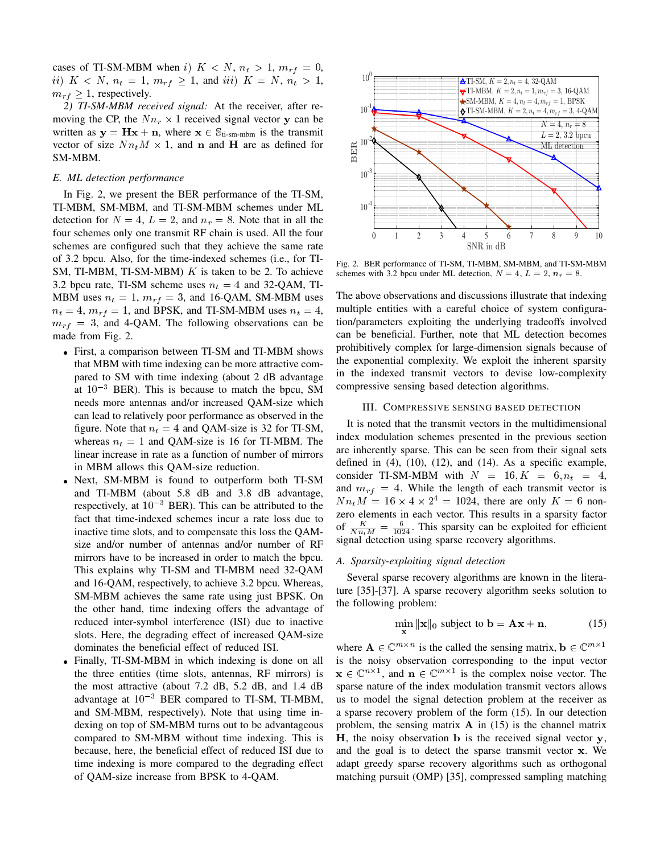cases of TI-SM-MBM when i)  $K < N$ ,  $n_t > 1$ ,  $m_{rf} = 0$ , ii)  $K < N$ ,  $n_t = 1$ ,  $m_{rf} \ge 1$ , and iii)  $K = N$ ,  $n_t > 1$ ,  $m_{rf} \geq 1$ , respectively.

*2) TI-SM-MBM received signal:* At the receiver, after removing the CP, the  $Nn_r \times 1$  received signal vector y can be written as  $y = Hx + n$ , where  $x \in \mathbb{S}_{t_i-sm-mbm}$  is the transmit vector of size  $Nn_t M \times 1$ , and **n** and **H** are as defined for SM-MBM.

# *E. ML detection performance*

In Fig. 2, we present the BER performance of the TI-SM, TI-MBM, SM-MBM, and TI-SM-MBM schemes under ML detection for  $N = 4$ ,  $L = 2$ , and  $n_r = 8$ . Note that in all the four schemes only one transmit RF chain is used. All the four schemes are configured such that they achieve the same rate of 3.2 bpcu. Also, for the time-indexed schemes (i.e., for TI-SM, TI-MBM, TI-SM-MBM)  $K$  is taken to be 2. To achieve 3.2 bpcu rate, TI-SM scheme uses  $n_t = 4$  and 32-QAM, TI-MBM uses  $n_t = 1$ ,  $m_{rf} = 3$ , and 16-QAM, SM-MBM uses  $n_t = 4$ ,  $m_{rf} = 1$ , and BPSK, and TI-SM-MBM uses  $n_t = 4$ ,  $m_{rf}$  = 3, and 4-QAM. The following observations can be made from Fig. 2.

- First, a comparison between TI-SM and TI-MBM shows that MBM with time indexing can be more attractive compared to SM with time indexing (about 2 dB advantage at  $10^{-3}$  BER). This is because to match the bpcu, SM needs more antennas and/or increased QAM-size which can lead to relatively poor performance as observed in the figure. Note that  $n_t = 4$  and QAM-size is 32 for TI-SM, whereas  $n_t = 1$  and QAM-size is 16 for TI-MBM. The linear increase in rate as a function of number of mirrors in MBM allows this QAM-size reduction.
- Next, SM-MBM is found to outperform both TI-SM and TI-MBM (about 5.8 dB and 3.8 dB advantage, respectively, at  $10^{-3}$  BER). This can be attributed to the fact that time-indexed schemes incur a rate loss due to inactive time slots, and to compensate this loss the QAMsize and/or number of antennas and/or number of RF mirrors have to be increased in order to match the bpcu. This explains why TI-SM and TI-MBM need 32-QAM and 16-QAM, respectively, to achieve 3.2 bpcu. Whereas, SM-MBM achieves the same rate using just BPSK. On the other hand, time indexing offers the advantage of reduced inter-symbol interference (ISI) due to inactive slots. Here, the degrading effect of increased QAM-size dominates the beneficial effect of reduced ISI. size one of monetarity controlled in the base of the size increase of  $\frac{1}{2}$  and  $\frac{1}{2}$  and  $\frac{1}{2}$  and  $\frac{1}{2}$  and  $\frac{1}{2}$  and  $\frac{1}{2}$  and  $\frac{1}{2}$  and  $\frac{1}{2}$  and  $\frac{1}{2}$  and  $\frac{1}{2}$  and  $\frac{1}{2}$  a
- Finally, TI-SM-MBM in which indexing is done on all the three entities (time slots, antennas, RF mirrors) is the most attractive (about 7.2 dB, 5.2 dB, and 1.4 dB advantage at  $10^{-3}$  BER compared to TI-SM, TI-MBM, and SM-MBM, respectively). Note that using time indexing on top of SM-MBM turns out to be advantageous compared to SM-MBM without time indexing. This is because, here, the beneficial effect of reduced ISI due to time indexing is more compared to the degrading effect



Fig. 2. BER performance of TI-SM, TI-MBM, SM-MBM, and TI-SM-MBM schemes with 3.2 bpcu under ML detection,  $N = 4$ ,  $L = 2$ ,  $n_r = 8$ .

The above observations and discussions illustrate that indexing multiple entities with a careful choice of system configuration/parameters exploiting the underlying tradeoffs involved can be beneficial. Further, note that ML detection becomes prohibitively complex for large-dimension signals because of the exponential complexity. We exploit the inherent sparsity in the indexed transmit vectors to devise low-complexity compressive sensing based detection algorithms.

#### III. COMPRESSIVE SENSING BASED DETECTION

It is noted that the transmit vectors in the multidimensional index modulation schemes presented in the previous section are inherently sparse. This can be seen from their signal sets defined in  $(4)$ ,  $(10)$ ,  $(12)$ , and  $(14)$ . As a specific example, consider TI-SM-MBM with  $N = 16, K = 6, n_t = 4$ , and  $m_{rf} = 4$ . While the length of each transmit vector is  $Nn_tM = 16 \times 4 \times 2^4 = 1024$ , there are only  $K = 6$  nonzero elements in each vector. This results in a sparsity factor of  $\frac{K}{Nn_tM} = \frac{6}{1024}$ . This sparsity can be exploited for efficient signal detection using sparse recovery algorithms.

#### *A. Sparsity-exploiting signal detection*

Several sparse recovery algorithms are known in the literature [35]-[37]. A sparse recovery algorithm seeks solution to the following problem:

$$
\min_{\mathbf{x}} \|\mathbf{x}\|_0 \text{ subject to } \mathbf{b} = \mathbf{A}\mathbf{x} + \mathbf{n},\tag{15}
$$

where  $\mathbf{A} \in \mathbb{C}^{m \times n}$  is the called the sensing matrix,  $\mathbf{b} \in \mathbb{C}^{m \times 1}$ is the noisy observation corresponding to the input vector  $\mathbf{x} \in \mathbb{C}^{n \times 1}$ , and  $\mathbf{n} \in \mathbb{C}^{m \times 1}$  is the complex noise vector. The sparse nature of the index modulation transmit vectors allows us to model the signal detection problem at the receiver as a sparse recovery problem of the form (15). In our detection problem, the sensing matrix  $\bf{A}$  in (15) is the channel matrix  $H$ , the noisy observation  $b$  is the received signal vector  $y$ , and the goal is to detect the sparse transmit vector x. We adapt greedy sparse recovery algorithms such as orthogonal matching pursuit (OMP) [35], compressed sampling matching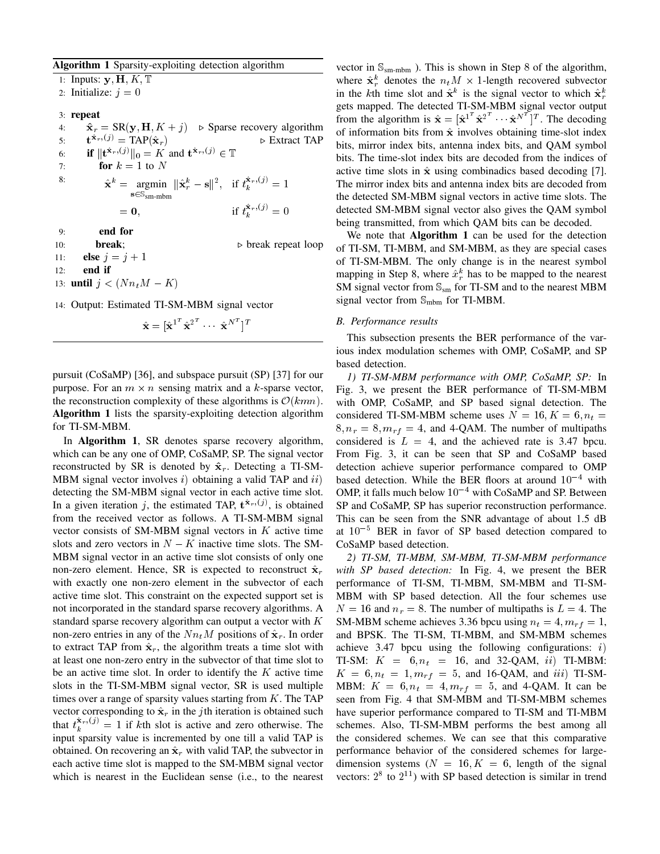# Algorithm 1 Sparsity-exploiting detection algorithm

1: Inputs:  $y$ ,  $H$ ,  $K$ ,  $T$ 2: Initialize:  $j = 0$ 3: repeat 4:  $\hat{\mathbf{x}}_r = \text{SR}(\mathbf{y}, \mathbf{H}, K + j)$   $\triangleright$  Sparse recovery algorithm  $5:$  $\mathbf{t}^{\hat{\mathbf{x}}_r,(j)} = \text{TAP}(\hat{\mathbf{x}}_r)$   $\triangleright$  Extract TAP 6: **if**  $\|\mathbf{t}^{\hat{\mathbf{x}}_r,(j)}\|_0 = K$  and  $\mathbf{t}^{\hat{\mathbf{x}}_r,(j)} \in \mathbb{T}$ 7: **for**  $k = 1$  to N <sup>8:</sup>  $\hat{\mathbf{x}}^k = \text{argmin}$  $\mathbf{s} \in \mathbb{S}_{\text{sm-mbm}}$  $\label{eq:estim} ||\hat{\mathbf{x}}_r^k - \mathbf{s}||^2, \ \ \text{if} \ t_k^{\hat{\mathbf{x}}_r,(j)} = 1$  $= 0,$  if  $t_k^{\hat{\mathbf{x}}_r,(j)} = 0$ 9: end for 10: **break**;  $\triangleright$  break repeat loop 11: **else**  $j = j + 1$  $12:$  end if 13: **until**  $j < (Nn_tM - K)$ 

14: Output: Estimated TI-SM-MBM signal vector

 $\hat{\textbf{x}} = [\hat{\textbf{x}}^{1^T} \hat{\textbf{x}}^{2^T} \cdots \ \hat{\textbf{x}}^{N^T} ]^T$ 

pursuit (CoSaMP) [36], and subspace pursuit (SP) [37] for our purpose. For an  $m \times n$  sensing matrix and a k-sparse vector, the reconstruction complexity of these algorithms is  $\mathcal{O}(kmn)$ . Algorithm 1 lists the sparsity-exploiting detection algorithm for TI-SM-MBM.

In Algorithm 1, SR denotes sparse recovery algorithm, which can be any one of OMP, CoSaMP, SP. The signal vector reconstructed by SR is denoted by  $\hat{\mathbf{x}}_r$ . Detecting a TI-SM-MBM signal vector involves  $i)$  obtaining a valid TAP and  $ii)$ detecting the SM-MBM signal vector in each active time slot. In a given iteration j, the estimated TAP,  $\mathbf{t}^{\hat{\mathbf{x}}_r,(j)}$ , is obtained from the received vector as follows. A TI-SM-MBM signal vector consists of SM-MBM signal vectors in  $K$  active time slots and zero vectors in  $N - K$  inactive time slots. The SM-MBM signal vector in an active time slot consists of only one non-zero element. Hence, SR is expected to reconstruct  $\hat{\mathbf{x}}_r$ with exactly one non-zero element in the subvector of each active time slot. This constraint on the expected support set is not incorporated in the standard sparse recovery algorithms. A standard sparse recovery algorithm can output a vector with  $K$ non-zero entries in any of the  $Nn_tM$  positions of  $\hat{\mathbf{x}}_r$ . In order to extract TAP from  $\hat{\mathbf{x}}_r$ , the algorithm treats a time slot with at least one non-zero entry in the subvector of that time slot to be an active time slot. In order to identify the  $K$  active time slots in the TI-SM-MBM signal vector, SR is used multiple times over a range of sparsity values starting from  $K$ . The TAP vector corresponding to  $\hat{\mathbf{x}}_r$  in the *j*th iteration is obtained such that  $t_k^{\hat{\mathbf{x}}_r,(j)} = 1$  if kth slot is active and zero otherwise. The input sparsity value is incremented by one till a valid TAP is obtained. On recovering an  $\hat{\mathbf{x}}_r$  with valid TAP, the subvector in each active time slot is mapped to the SM-MBM signal vector which is nearest in the Euclidean sense (i.e., to the nearest vector in  $\mathbb{S}_{sm-mbm}$  ). This is shown in Step 8 of the algorithm, where  $\hat{\mathbf{x}}_r^k$  denotes the  $n_t M \times 1$ -length recovered subvector in the kth time slot and  $\hat{\mathbf{x}}^k$  is the signal vector to which  $\hat{\mathbf{x}}_r^k$ gets mapped. The detected TI-SM-MBM signal vector output from the algorithm is  $\hat{\mathbf{x}} = [\hat{\mathbf{x}}]^{T} \hat{\mathbf{x}}^{2} \cdots \hat{\mathbf{x}}^{N}$  The decoding of information bits from  $\hat{x}$  involves obtaining time-slot index bits, mirror index bits, antenna index bits, and QAM symbol bits. The time-slot index bits are decoded from the indices of active time slots in  $\hat{x}$  using combinadics based decoding [7]. The mirror index bits and antenna index bits are decoded from the detected SM-MBM signal vectors in active time slots. The detected SM-MBM signal vector also gives the QAM symbol being transmitted, from which QAM bits can be decoded.

We note that **Algorithm 1** can be used for the detection of TI-SM, TI-MBM, and SM-MBM, as they are special cases of TI-SM-MBM. The only change is in the nearest symbol mapping in Step 8, where  $\hat{x}_r^k$  has to be mapped to the nearest SM signal vector from  $\mathbb{S}_{\text{sm}}$  for TI-SM and to the nearest MBM signal vector from  $\mathbb{S}_{\text{mbm}}$  for TI-MBM.

### *B. Performance results*

This subsection presents the BER performance of the various index modulation schemes with OMP, CoSaMP, and SP based detection.

*1) TI-SM-MBM performance with OMP, CoSaMP, SP:* In Fig. 3, we present the BER performance of TI-SM-MBM with OMP, CoSaMP, and SP based signal detection. The considered TI-SM-MBM scheme uses  $N = 16, K = 6, n_t =$  $8, n_r = 8, m_{rf} = 4$ , and 4-QAM. The number of multipaths considered is  $L = 4$ , and the achieved rate is 3.47 bpcu. From Fig. 3, it can be seen that SP and CoSaMP based detection achieve superior performance compared to OMP based detection. While the BER floors at around  $10^{-4}$  with OMP, it falls much below  $10^{-4}$  with CoSaMP and SP. Between SP and CoSaMP, SP has superior reconstruction performance. This can be seen from the SNR advantage of about 1.5 dB at  $10^{-5}$  BER in favor of SP based detection compared to CoSaMP based detection.

*2) TI-SM, TI-MBM, SM-MBM, TI-SM-MBM performance with SP based detection:* In Fig. 4, we present the BER performance of TI-SM, TI-MBM, SM-MBM and TI-SM-MBM with SP based detection. All the four schemes use  $N = 16$  and  $n_r = 8$ . The number of multipaths is  $L = 4$ . The SM-MBM scheme achieves 3.36 bpcu using  $n_t = 4, m_{rf} = 1$ , and BPSK. The TI-SM, TI-MBM, and SM-MBM schemes achieve 3.47 bpcu using the following configurations:  $i$ ) TI-SM:  $K = 6, n_t = 16$ , and 32-QAM, ii) TI-MBM:  $K = 6, n_t = 1, m_{rf} = 5$ , and 16-QAM, and iii) TI-SM-MBM:  $K = 6, n_t = 4, m_{rf} = 5$ , and 4-QAM. It can be seen from Fig. 4 that SM-MBM and TI-SM-MBM schemes have superior performance compared to TI-SM and TI-MBM schemes. Also, TI-SM-MBM performs the best among all the considered schemes. We can see that this comparative performance behavior of the considered schemes for largedimension systems ( $N = 16, K = 6$ , length of the signal vectors:  $2^8$  to  $2^{11}$ ) with SP based detection is similar in trend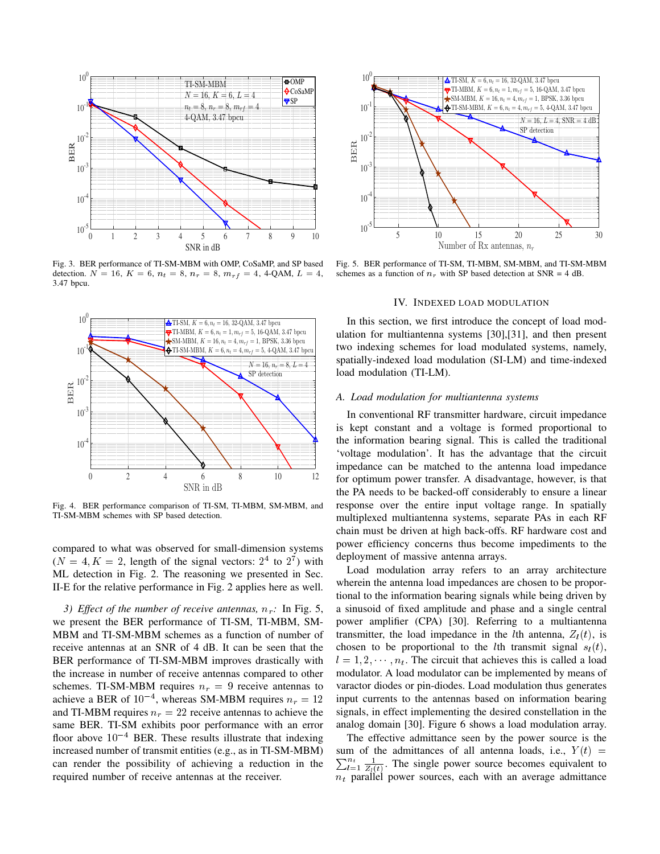

Fig. 3. BER performance of TI-SM-MBM with OMP, CoSaMP, and SP based detection.  $N = 16$ ,  $K = 6$ ,  $n_t = 8$ ,  $n_r = 8$ ,  $m_{rf} = 4$ , 4-QAM,  $L = 4$ , 3.47 bpcu.



Fig. 4. BER performance comparison of TI-SM, TI-MBM, SM-MBM, and TI-SM-MBM schemes with SP based detection.

compared to what was observed for small-dimension systems  $(N = 4, K = 2,$  length of the signal vectors:  $2<sup>4</sup>$  to  $2<sup>7</sup>$ ) with ML detection in Fig. 2. The reasoning we presented in Sec. II-E for the relative performance in Fig. 2 applies here as well.

*3)* Effect of the number of receive antennas,  $n_r$ : In Fig. 5, we present the BER performance of TI-SM, TI-MBM, SM-MBM and TI-SM-MBM schemes as a function of number of receive antennas at an SNR of 4 dB. It can be seen that the BER performance of TI-SM-MBM improves drastically with the increase in number of receive antennas compared to other schemes. TI-SM-MBM requires  $n_r = 9$  receive antennas to achieve a BER of  $10^{-4}$ , whereas SM-MBM requires  $n_r = 12$ and TI-MBM requires  $n_r = 22$  receive antennas to achieve the same BER. TI-SM exhibits poor performance with an error floor above  $10^{-4}$  BER. These results illustrate that indexing increased number of transmit entities (e.g., as in TI-SM-MBM) can render the possibility of achieving a reduction in the



Fig. 5. BER performance of TI-SM, TI-MBM, SM-MBM, and TI-SM-MBM schemes as a function of  $n_r$  with SP based detection at SNR = 4 dB.

## IV. INDEXED LOAD MODULATION

In this section, we first introduce the concept of load modulation for multiantenna systems [30],[31], and then present two indexing schemes for load modulated systems, namely, spatially-indexed load modulation (SI-LM) and time-indexed load modulation (TI-LM).

## *A. Load modulation for multiantenna systems*

In conventional RF transmitter hardware, circuit impedance is kept constant and a voltage is formed proportional to the information bearing signal. This is called the traditional 'voltage modulation'. It has the advantage that the circuit impedance can be matched to the antenna load impedance for optimum power transfer. A disadvantage, however, is that the PA needs to be backed-off considerably to ensure a linear response over the entire input voltage range. In spatially multiplexed multiantenna systems, separate PAs in each RF chain must be driven at high back-offs. RF hardware cost and power efficiency concerns thus become impediments to the deployment of massive antenna arrays.

Load modulation array refers to an array architecture wherein the antenna load impedances are chosen to be proportional to the information bearing signals while being driven by a sinusoid of fixed amplitude and phase and a single central power amplifier (CPA) [30]. Referring to a multiantenna transmitter, the load impedance in the *l*th antenna,  $Z_l(t)$ , is chosen to be proportional to the *l*th transmit signal  $s_l(t)$ ,  $l = 1, 2, \dots, n_t$ . The circuit that achieves this is called a load modulator. A load modulator can be implemented by means of varactor diodes or pin-diodes. Load modulation thus generates input currents to the antennas based on information bearing signals, in effect implementing the desired constellation in the analog domain [30]. Figure 6 shows a load modulation array.

The effective admittance seen by the power source is the  $\sum_{l=1}^{n_t} \frac{1}{Z_l(t)}$ . The single power source becomes equivalent to sum of the admittances of all antenna loads, i.e.,  $Y(t)$  =  $n_t$  parallel power sources, each with an average admittance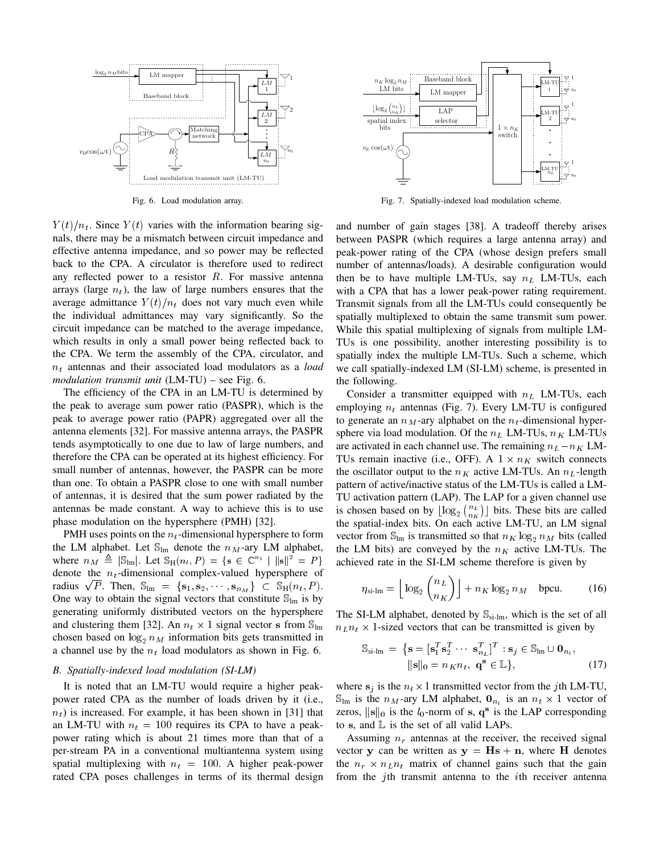

Fig. 6. Load modulation array.

 $Y(t)/n_t$ . Since  $Y(t)$  varies with the information bearing signals, there may be a mismatch between circuit impedance and effective antenna impedance, and so power may be reflected back to the CPA. A circulator is therefore used to redirect any reflected power to a resistor  $R$ . For massive antenna arrays (large  $n_t$ ), the law of large numbers ensures that the average admittance  $Y(t)/n_t$  does not vary much even while the individual admittances may vary significantly. So the circuit impedance can be matched to the average impedance, which results in only a small power being reflected back to the CPA. We term the assembly of the CPA, circulator, and  $n_t$  antennas and their associated load modulators as a *load modulation transmit unit* (LM-TU) – see Fig. 6.

The efficiency of the CPA in an LM-TU is determined by the peak to average sum power ratio (PASPR), which is the peak to average power ratio (PAPR) aggregated over all the antenna elements [32]. For massive antenna arrays, the PASPR tends asymptotically to one due to law of large numbers, and therefore the CPA can be operated at its highest efficiency. For small number of antennas, however, the PASPR can be more than one. To obtain a PASPR close to one with small number of antennas, it is desired that the sum power radiated by the antennas be made constant. A way to achieve this is to use phase modulation on the hypersphere (PMH) [32].

PMH uses points on the  $n_t$ -dimensional hypersphere to form the LM alphabet. Let  $\mathbb{S}_{lm}$  denote the  $n_M$ -ary LM alphabet, where  $n_M \triangleq |\mathbb{S}_{lm}|$ . Let  $\mathbb{S}_{H}(n_t, P) = \{ \mathbf{s} \in \mathbb{C}^{n_t} \mid ||\mathbf{s}||^2 = P \}$ denote the  $n_t$ -dimensional complex-valued hypersphere of denote the  $n_t$ -dimensional complex-valued hypersphere of radius  $\sqrt{P}$ . Then,  $\mathbb{S}_{\text{lm}} = \{s_1, s_2, \cdots, s_{n_M}\} \subset \mathbb{S}_{\text{H}}(n_t, P)$ . One way to obtain the signal vectors that constitute  $\mathbb{S}_{\text{lm}}$  is by generating uniformly distributed vectors on the hypersphere and clustering them [32]. An  $n_t \times 1$  signal vector s from  $\mathbb{S}_{lm}$ chosen based on  $\log_2 n_M$  information bits gets transmitted in a channel use by the  $n_t$  load modulators as shown in Fig. 6.

# *B. Spatially-indexed load modulation (SI-LM)*

It is noted that an LM-TU would require a higher peakpower rated CPA as the number of loads driven by it (i.e.,  $n<sub>t</sub>$ ) is increased. For example, it has been shown in [31] that an LM-TU with  $n_t = 100$  requires its CPA to have a peakpower rating which is about 21 times more than that of a per-stream PA in a conventional multiantenna system using spatial multiplexing with  $n_t = 100$ . A higher peak-power rated CPA poses challenges in terms of its thermal design



Fig. 7. Spatially-indexed load modulation scheme.

and number of gain stages [38]. A tradeoff thereby arises between PASPR (which requires a large antenna array) and peak-power rating of the CPA (whose design prefers small number of antennas/loads). A desirable configuration would then be to have multiple LM-TUs, say  $n<sub>L</sub>$  LM-TUs, each with a CPA that has a lower peak-power rating requirement. Transmit signals from all the LM-TUs could consequently be spatially multiplexed to obtain the same transmit sum power. While this spatial multiplexing of signals from multiple LM-TUs is one possibility, another interesting possibility is to spatially index the multiple LM-TUs. Such a scheme, which we call spatially-indexed LM (SI-LM) scheme, is presented in the following.

Consider a transmitter equipped with  $n<sub>L</sub>$  LM-TUs, each employing  $n_t$  antennas (Fig. 7). Every LM-TU is configured to generate an  $n<sub>M</sub>$ -ary alphabet on the  $n<sub>t</sub>$ -dimensional hypersphere via load modulation. Of the  $n_L$  LM-TUs,  $n_K$  LM-TUs are activated in each channel use. The remaining  $n_L - n_K$  LM-TUs remain inactive (i.e., OFF). A  $1 \times n_K$  switch connects the oscillator output to the  $n_K$  active LM-TUs. An  $n_L$ -length pattern of active/inactive status of the LM-TUs is called a LM-TU activation pattern (LAP). The LAP for a given channel use is chosen based on by  $\lfloor \log_2 {n_L \choose n_K} \rfloor$  bits. These bits are called the spatial-index bits. On each active LM-TU, an LM signal vector from  $\mathbb{S}_{\text{Im}}$  is transmitted so that  $n_K \log_2 n_M$  bits (called the LM bits) are conveyed by the  $n<sub>K</sub>$  active LM-TUs. The achieved rate in the SI-LM scheme therefore is given by

$$
\eta_{\text{si-lm}} = \left\lfloor \log_2 \binom{n_L}{n_K} \right\rfloor + n_K \log_2 n_M \quad \text{bpcu.} \tag{16}
$$

The SI-LM alphabet, denoted by  $\mathbb{S}_{\text{si-lm}}$ , which is the set of all  $n_L n_t \times 1$ -sized vectors that can be transmitted is given by

$$
\mathbb{S}_{\text{s}i\text{-}lm} = \left\{ \mathbf{s} = [\mathbf{s}_1^T \mathbf{s}_2^T \cdots \mathbf{s}_{n_L}^T]^T : \mathbf{s}_j \in \mathbb{S}_{lm} \cup \mathbf{0}_{n_t}, \, \|\mathbf{s}\|_0 = n_K n_t, \, \mathbf{q}^{\mathbf{s}} \in \mathbb{L} \right\},\tag{17}
$$

where  $s_j$  is the  $n_t \times 1$  transmitted vector from the jth LM-TU,  $\mathbb{S}_{\text{lm}}$  is the  $n_M$ -ary LM alphabet,  $\mathbf{0}_{n_t}$  is an  $n_t \times 1$  vector of zeros,  $\|\mathbf{s}\|_0$  is the  $l_0$ -norm of s,  $\mathbf{q}^s$  is the LAP corresponding to s, and  $\mathbb L$  is the set of all valid LAPs.

Assuming  $n_r$  antennas at the receiver, the received signal vector y can be written as  $y = Hs + n$ , where H denotes the  $n_r \times n_L n_t$  matrix of channel gains such that the gain from the  $j$ th transmit antenna to the *i*th receiver antenna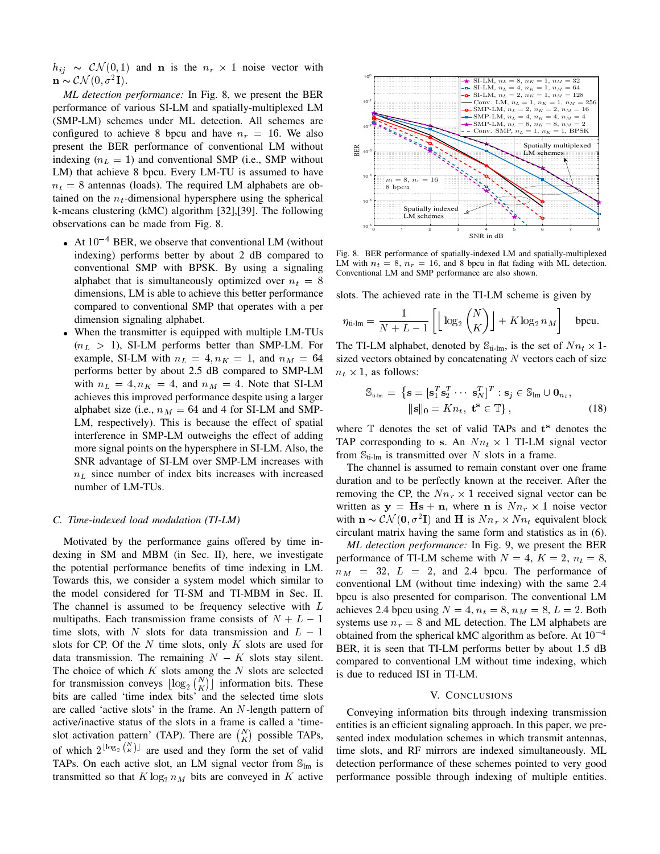$h_{ij} \sim \mathcal{CN}(0,1)$  and **n** is the  $n_r \times 1$  noise vector with  $\mathbf{n} \sim \mathcal{CN}(0, \sigma^2 \mathbf{I}).$ 

*ML detection performance:* In Fig. 8, we present the BER performance of various SI-LM and spatially-multiplexed LM (SMP-LM) schemes under ML detection. All schemes are configured to achieve 8 bpcu and have  $n_r = 16$ . We also present the BER performance of conventional LM without indexing  $(n_L = 1)$  and conventional SMP (i.e., SMP without LM) that achieve 8 bpcu. Every LM-TU is assumed to have  $n_t = 8$  antennas (loads). The required LM alphabets are obtained on the  $n_t$ -dimensional hypersphere using the spherical k-means clustering (kMC) algorithm [32],[39]. The following observations can be made from Fig. 8.

- At  $10^{-4}$  BER, we observe that conventional LM (without indexing) performs better by about 2 dB compared to conventional SMP with BPSK. By using a signaling alphabet that is simultaneously optimized over  $n_t = 8$ dimensions, LM is able to achieve this better performance compared to conventional SMP that operates with a per dimension signaling alphabet.
- When the transmitter is equipped with multiple LM-TUs  $(n_L > 1)$ , SI-LM performs better than SMP-LM. For example, SI-LM with  $n_L = 4, n_K = 1$ , and  $n_M = 64$ performs better by about 2.5 dB compared to SMP-LM with  $n_L = 4$ ,  $n_K = 4$ , and  $n_M = 4$ . Note that SI-LM achieves this improved performance despite using a larger alphabet size (i.e.,  $n_M = 64$  and 4 for SI-LM and SMP-LM, respectively). This is because the effect of spatial interference in SMP-LM outweighs the effect of adding more signal points on the hypersphere in SI-LM. Also, the SNR advantage of SI-LM over SMP-LM increases with  $n<sub>L</sub>$  since number of index bits increases with increased number of LM-TUs.

#### *C. Time-indexed load modulation (TI-LM)*

Motivated by the performance gains offered by time indexing in SM and MBM (in Sec. II), here, we investigate the potential performance benefits of time indexing in LM. Towards this, we consider a system model which similar to the model considered for TI-SM and TI-MBM in Sec. II. The channel is assumed to be frequency selective with L multipaths. Each transmission frame consists of  $N + L - 1$ time slots, with N slots for data transmission and  $L - 1$ slots for CP. Of the  $N$  time slots, only  $K$  slots are used for data transmission. The remaining  $N - K$  slots stay silent. The choice of which  $K$  slots among the  $N$  slots are selected for transmission conveys  $\lfloor \log_2 {N \choose K} \rfloor$  information bits. These bits are called 'time index bits' and the selected time slots are called 'active slots' in the frame. An N-length pattern of active/inactive status of the slots in a frame is called a 'timeslot activation pattern' (TAP). There are  $\binom{N}{K}$  possible TAPs, of which  $2^{\lfloor \log_2 {N \choose K} \rfloor}$  are used and they form the set of valid TAPs. On each active slot, an LM signal vector from  $\mathbb{S}_{lm}$  is transmitted so that  $K \log_2 n_M$  bits are conveyed in K active



Fig. 8. BER performance of spatially-indexed LM and spatially-multiplexed LM with  $n_t = 8$ ,  $n_r = 16$ , and 8 bpcu in flat fading with ML detection. Conventional LM and SMP performance are also shown.

slots. The achieved rate in the TI-LM scheme is given by

$$
\eta_{\text{ti-lm}} = \frac{1}{N + L - 1} \left[ \left\lfloor \log_2 \binom{N}{K} \right\rfloor + K \log_2 n_M \right] \quad \text{bpcu}.
$$

The TI-LM alphabet, denoted by  $\mathbb{S}_{\text{ti-lm}}$ , is the set of  $Nn_t \times 1$ sized vectors obtained by concatenating  $N$  vectors each of size  $n_t \times 1$ , as follows:

$$
\mathbb{S}_{\text{u-lm}} = \left\{ \mathbf{s} = [\mathbf{s}_1^T \mathbf{s}_2^T \cdots \mathbf{s}_N^T]^T : \mathbf{s}_j \in \mathbb{S}_{\text{lm}} \cup \mathbf{0}_{n_t}, \; |\!|\mathbf{s}|\!|_0 = Kn_t, \; \mathbf{t}^{\mathbf{s}} \in \mathbb{T} \right\},\tag{18}
$$

where  $\mathbb T$  denotes the set of valid TAPs and  $t^s$  denotes the TAP corresponding to s. An  $Nn_t \times 1$  TI-LM signal vector from  $\mathbb{S}_{\text{ti-lm}}$  is transmitted over N slots in a frame.

The channel is assumed to remain constant over one frame duration and to be perfectly known at the receiver. After the removing the CP, the  $Nn_r \times 1$  received signal vector can be written as  $y = Hs + n$ , where n is  $Nn_r \times 1$  noise vector with  $\mathbf{n} \sim \mathcal{CN}(\mathbf{0}, \sigma^2 \mathbf{I})$  and H is  $Nn_r \times Nn_t$  equivalent block circulant matrix having the same form and statistics as in (6).

*ML detection performance:* In Fig. 9, we present the BER performance of TI-LM scheme with  $N = 4$ ,  $K = 2$ ,  $n_t = 8$ ,  $n_M$  = 32,  $L$  = 2, and 2.4 bpcu. The performance of conventional LM (without time indexing) with the same 2.4 bpcu is also presented for comparison. The conventional LM achieves 2.4 bpcu using  $N = 4$ ,  $n_t = 8$ ,  $n_M = 8$ ,  $L = 2$ . Both systems use  $n_r = 8$  and ML detection. The LM alphabets are obtained from the spherical kMC algorithm as before. At  $10^{-4}$ BER, it is seen that TI-LM performs better by about 1.5 dB compared to conventional LM without time indexing, which is due to reduced ISI in TI-LM.

## V. CONCLUSIONS

Conveying information bits through indexing transmission entities is an efficient signaling approach. In this paper, we presented index modulation schemes in which transmit antennas, time slots, and RF mirrors are indexed simultaneously. ML detection performance of these schemes pointed to very good performance possible through indexing of multiple entities.